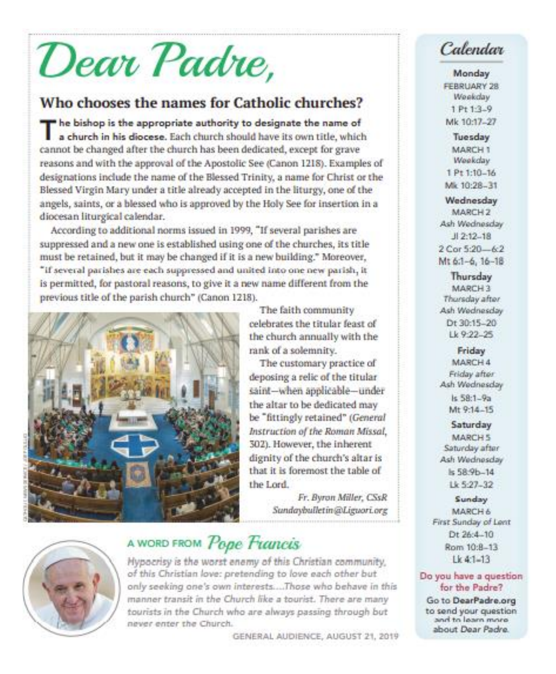# Dear Padre,

## Who chooses the names for Catholic churches?

The bishop is the appropriate authority to designate the name of a church in his diocese. Each church should have its own title, which cannot be changed after the church has been dedicated, except for grave reasons and with the approval of the Apostolic See (Canon 1218). Examples of designations include the name of the Blessed Trinity, a name for Christ or the Blessed Virgin Mary under a title already accepted in the liturgy, one of the angels, saints, or a blessed who is approved by the Holy See for insertion in a diocesan liturgical calendar.

According to additional norms issued in 1999, "If several parishes are suppressed and a new one is established using one of the churches, its title must be retained, but it may be changed if it is a new building," Moreover, "if several parishes are each suppressed and united into one new parish, it is permitted, for pastoral reasons, to give it a new name different from the previous title of the parish church" (Canon 1218).





# A WORD FROM Pope Francis

Hypocrisy is the worst enemy of this Christian community, of this Christian love: pretending to love each other but only seeking one's own interests....Those who behave in this manner transit in the Church like a tourist. There are many tourists in the Church who are always passing through but never enter the Church.

the Lord.

GENERAL AUDIENCE, AUGUST 21, 2019

The faith community

rank of a solemnity.

celebrates the titular feast of

the church annually with the

The customary practice of

saint-when applicable-under

be "fittingly retained" (General

Instruction of the Roman Missal,

dignity of the church's altar is

that it is foremost the table of

Fr. Byron Miller, CSsR

Sundaybulletin@Liguori.org

302). However, the inherent

deposing a relic of the titular

the altar to be dedicated may

# Calendar

Monday FEBRUARY 28 Weekday 1 Pt 1:3-9 Mk 10:17-27

Tuesday MARCH 1 Weekday 1 Pt 1:10-16 Mk 10:28-31

Wednesday MARCH<sub>2</sub>

Ash Wednesday  $J12:12-18$ 2 Cor 5:20-6:2 Mt 6:1-6, 16-18

Thursday MARCH 3 Thursday after Ash Wednesday Dt 30:15-20 Lk 9:22-25

Friday MARCH 4 Friday after Ash Wednesday Is 58:1-9a Mt 9:14-15

Saturday MARCH 5 Saturday after Ash Wednesday  $Is 58.9b - 14$  $1k527 - 32$ 

Sunday MARCH 6 First Sunday of Lent Dt 26:4-10 Rom 10:8-13  $1k$  41-13

Do you have a question for the Padre?

Go to DearPadre.org to send your question and to learn more about Dear Padre.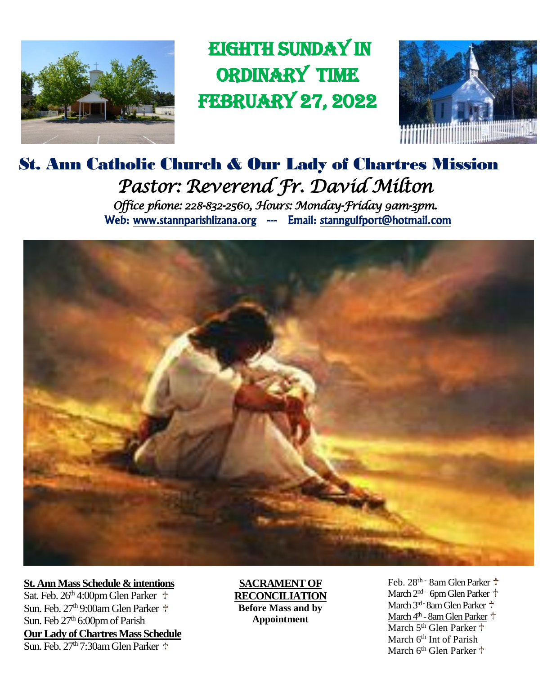

 EIGHth sunday in ordinary time February 27, 2022



# St. Ann Catholic Church & Our Lady of Chartres Mission *Pastor: Reverend Fr. David Milton Office phone: 228-832-2560, Hours: Monday-Friday 9am-3pm.*  Web: www.stannparishlizana.org --- Email: stanngulfport@hotmail.com



**St. Ann Mass Schedule & intentions** Sat. Feb.  $26<sup>th</sup>$  4:00pm Glen Parker  $\ddagger$ Sun. Feb.  $27<sup>th</sup>$  9:00am Glen Parker  $+$ Sun. Feb 27<sup>th</sup> 6:00pm of Parish **Our Lady of Chartres Mass Schedule** Sun. Feb.  $27<sup>th</sup>$  7:30am Glen Parker  $+$ 

#### **SACRAMENT OF RECONCILIATION Before Mass and by Appointment**

Feb. 28<sup>th -</sup> 8am Glen Parker <sup>+</sup> March 2<sup>nd</sup> - 6pm Glen Parker <sup>+</sup> March 3<sup>rd-</sup> 8am Glen Parker <sup>+</sup> March 4th - 8am Glen Parker March 5<sup>th</sup> Glen Parker <sup>+</sup> March 6<sup>th</sup> Int of Parish March 6<sup>th</sup> Glen Parker <sup>+</sup>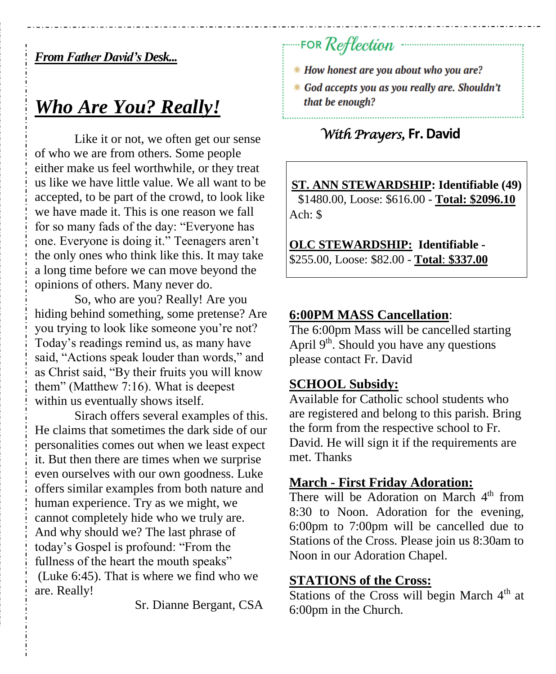### *From Father David's Desk...*

# *Who Are You? Really!*

Like it or not, we often get our sense of who we are from others. Some people either make us feel worthwhile, or they treat us like we have little value. We all want to be accepted, to be part of the crowd, to look like we have made it. This is one reason we fall for so many fads of the day: "Everyone has one. Everyone is doing it." Teenagers aren't the only ones who think like this. It may take a long time before we can move beyond the opinions of others. Many never do.

So, who are you? Really! Are you hiding behind something, some pretense? Are you trying to look like someone you're not? Today's readings remind us, as many have said, "Actions speak louder than words," and as Christ said, "By their fruits you will know them" (Matthew 7:16). What is deepest within us eventually shows itself.

Sirach offers several examples of this. He claims that sometimes the dark side of our personalities comes out when we least expect it. But then there are times when we surprise even ourselves with our own goodness. Luke offers similar examples from both nature and human experience. Try as we might, we cannot completely hide who we truly are. And why should we? The last phrase of today's Gospel is profound: "From the fullness of the heart the mouth speaks" (Luke 6:45). That is where we find who we are. Really!

Sr. Dianne Bergant, CSA

# FOR Reflection

- *\* How honest are you about who you are?*
- \* God accepts you as you really are. Shouldn't that be enough?

## *With Prayers,* **Fr. David**

**ST. ANN STEWARDSHIP: Identifiable (49)** \$1480.00, Loose: \$616.00 - **Total: \$2096.10** Ach: \$

**OLC STEWARDSHIP: Identifiable -** \$255.00, Loose: \$82.00 - **Total**: **\$337.00**

#### **6:00PM MASS Cancellation**:

The 6:00pm Mass will be cancelled starting April  $9<sup>th</sup>$ . Should you have any questions please contact Fr. David

#### **SCHOOL Subsidy:**

Available for Catholic school students who are registered and belong to this parish. Bring the form from the respective school to Fr. David. He will sign it if the requirements are met. Thanks

#### **March - First Friday Adoration:**

There will be Adoration on March  $4<sup>th</sup>$  from 8:30 to Noon. Adoration for the evening, 6:00pm to 7:00pm will be cancelled due to Stations of the Cross. Please join us 8:30am to Noon in our Adoration Chapel.

#### **STATIONS of the Cross:**

Stations of the Cross will begin March  $4<sup>th</sup>$  at 6:00pm in the Church.